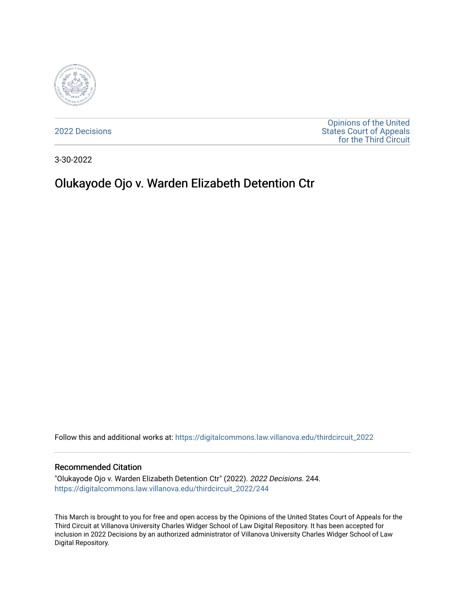

[2022 Decisions](https://digitalcommons.law.villanova.edu/thirdcircuit_2022)

[Opinions of the United](https://digitalcommons.law.villanova.edu/thirdcircuit)  [States Court of Appeals](https://digitalcommons.law.villanova.edu/thirdcircuit)  [for the Third Circuit](https://digitalcommons.law.villanova.edu/thirdcircuit) 

3-30-2022

# Olukayode Ojo v. Warden Elizabeth Detention Ctr

Follow this and additional works at: [https://digitalcommons.law.villanova.edu/thirdcircuit\\_2022](https://digitalcommons.law.villanova.edu/thirdcircuit_2022?utm_source=digitalcommons.law.villanova.edu%2Fthirdcircuit_2022%2F244&utm_medium=PDF&utm_campaign=PDFCoverPages) 

#### Recommended Citation

"Olukayode Ojo v. Warden Elizabeth Detention Ctr" (2022). 2022 Decisions. 244. [https://digitalcommons.law.villanova.edu/thirdcircuit\\_2022/244](https://digitalcommons.law.villanova.edu/thirdcircuit_2022/244?utm_source=digitalcommons.law.villanova.edu%2Fthirdcircuit_2022%2F244&utm_medium=PDF&utm_campaign=PDFCoverPages)

This March is brought to you for free and open access by the Opinions of the United States Court of Appeals for the Third Circuit at Villanova University Charles Widger School of Law Digital Repository. It has been accepted for inclusion in 2022 Decisions by an authorized administrator of Villanova University Charles Widger School of Law Digital Repository.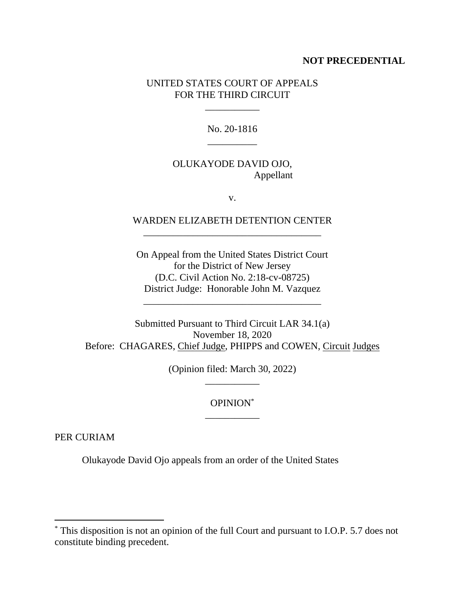#### **NOT PRECEDENTIAL**

#### UNITED STATES COURT OF APPEALS FOR THE THIRD CIRCUIT

\_\_\_\_\_\_\_\_\_\_\_

No. 20-1816 \_\_\_\_\_\_\_\_\_\_

## OLUKAYODE DAVID OJO, Appellant

v.

## WARDEN ELIZABETH DETENTION CENTER \_\_\_\_\_\_\_\_\_\_\_\_\_\_\_\_\_\_\_\_\_\_\_\_\_\_\_\_\_\_\_\_\_\_\_\_

On Appeal from the United States District Court for the District of New Jersey (D.C. Civil Action No. 2:18-cv-08725) District Judge: Honorable John M. Vazquez

\_\_\_\_\_\_\_\_\_\_\_\_\_\_\_\_\_\_\_\_\_\_\_\_\_\_\_\_\_\_\_\_\_\_\_\_

Submitted Pursuant to Third Circuit LAR 34.1(a) November 18, 2020 Before: CHAGARES, Chief Judge, PHIPPS and COWEN, Circuit Judges

> (Opinion filed: March 30, 2022) \_\_\_\_\_\_\_\_\_\_\_

> > OPINION\* \_\_\_\_\_\_\_\_\_\_\_

PER CURIAM

Olukayode David Ojo appeals from an order of the United States

<sup>\*</sup> This disposition is not an opinion of the full Court and pursuant to I.O.P. 5.7 does not constitute binding precedent.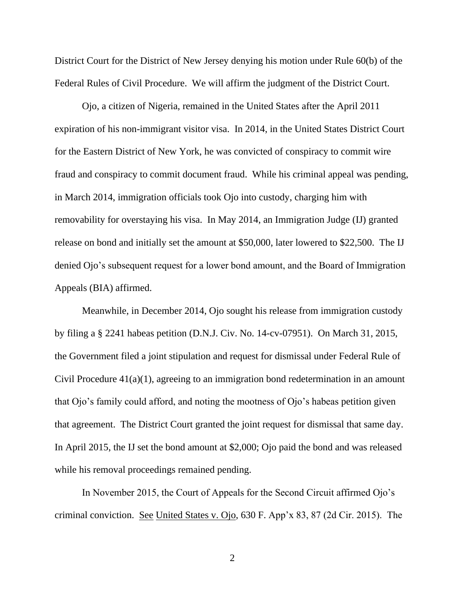District Court for the District of New Jersey denying his motion under Rule 60(b) of the Federal Rules of Civil Procedure. We will affirm the judgment of the District Court.

Ojo, a citizen of Nigeria, remained in the United States after the April 2011 expiration of his non-immigrant visitor visa. In 2014, in the United States District Court for the Eastern District of New York, he was convicted of conspiracy to commit wire fraud and conspiracy to commit document fraud. While his criminal appeal was pending, in March 2014, immigration officials took Ojo into custody, charging him with removability for overstaying his visa. In May 2014, an Immigration Judge (IJ) granted release on bond and initially set the amount at \$50,000, later lowered to \$22,500. The IJ denied Ojo's subsequent request for a lower bond amount, and the Board of Immigration Appeals (BIA) affirmed.

Meanwhile, in December 2014, Ojo sought his release from immigration custody by filing a § 2241 habeas petition (D.N.J. Civ. No. 14-cv-07951). On March 31, 2015, the Government filed a joint stipulation and request for dismissal under Federal Rule of Civil Procedure 41(a)(1), agreeing to an immigration bond redetermination in an amount that Ojo's family could afford, and noting the mootness of Ojo's habeas petition given that agreement. The District Court granted the joint request for dismissal that same day. In April 2015, the IJ set the bond amount at \$2,000; Ojo paid the bond and was released while his removal proceedings remained pending.

In November 2015, the Court of Appeals for the Second Circuit affirmed Ojo's criminal conviction. See United States v. Ojo, 630 F. App'x 83, 87 (2d Cir. 2015). The

2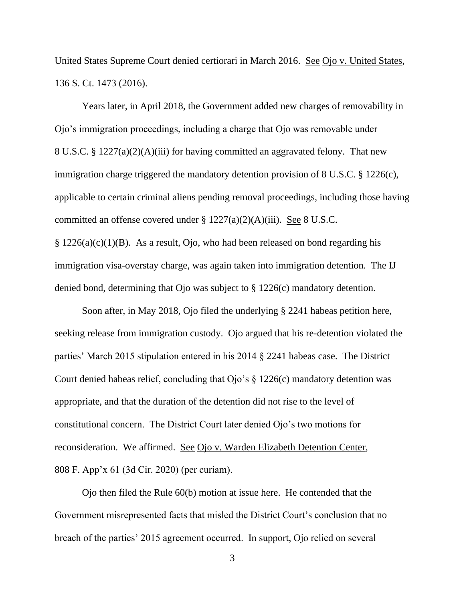United States Supreme Court denied certiorari in March 2016. See Ojo v. United States, 136 S. Ct. 1473 (2016).

Years later, in April 2018, the Government added new charges of removability in Ojo's immigration proceedings, including a charge that Ojo was removable under 8 U.S.C. § 1227(a)(2)(A)(iii) for having committed an aggravated felony. That new immigration charge triggered the mandatory detention provision of 8 U.S.C. § 1226(c), applicable to certain criminal aliens pending removal proceedings, including those having committed an offense covered under § 1227(a)(2)(A)(iii). See 8 U.S.C.

 $§ 1226(a)(c)(1)(B)$ . As a result, Ojo, who had been released on bond regarding his immigration visa-overstay charge, was again taken into immigration detention. The IJ denied bond, determining that Ojo was subject to § 1226(c) mandatory detention.

Soon after, in May 2018, Ojo filed the underlying § 2241 habeas petition here, seeking release from immigration custody. Ojo argued that his re-detention violated the parties' March 2015 stipulation entered in his 2014 § 2241 habeas case. The District Court denied habeas relief, concluding that Ojo's § 1226(c) mandatory detention was appropriate, and that the duration of the detention did not rise to the level of constitutional concern. The District Court later denied Ojo's two motions for reconsideration. We affirmed. See Ojo v. Warden Elizabeth Detention Center, 808 F. App'x 61 (3d Cir. 2020) (per curiam).

Ojo then filed the Rule 60(b) motion at issue here. He contended that the Government misrepresented facts that misled the District Court's conclusion that no breach of the parties' 2015 agreement occurred. In support, Ojo relied on several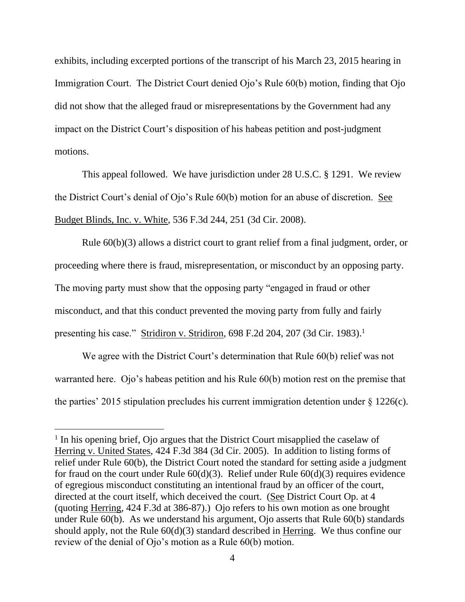exhibits, including excerpted portions of the transcript of his March 23, 2015 hearing in Immigration Court. The District Court denied Ojo's Rule 60(b) motion, finding that Ojo did not show that the alleged fraud or misrepresentations by the Government had any impact on the District Court's disposition of his habeas petition and post-judgment motions.

This appeal followed. We have jurisdiction under 28 U.S.C. § 1291. We review the District Court's denial of Ojo's Rule 60(b) motion for an abuse of discretion. See Budget Blinds, Inc. v. White, 536 F.3d 244, 251 (3d Cir. 2008).

Rule 60(b)(3) allows a district court to grant relief from a final judgment, order, or proceeding where there is fraud, misrepresentation, or misconduct by an opposing party. The moving party must show that the opposing party "engaged in fraud or other misconduct, and that this conduct prevented the moving party from fully and fairly presenting his case." Stridiron v. Stridiron, 698 F.2d 204, 207 (3d Cir. 1983).<sup>1</sup>

We agree with the District Court's determination that Rule 60(b) relief was not warranted here. Ojo's habeas petition and his Rule 60(b) motion rest on the premise that the parties' 2015 stipulation precludes his current immigration detention under  $\S$  1226(c).

<sup>&</sup>lt;sup>1</sup> In his opening brief, Ojo argues that the District Court misapplied the caselaw of Herring v. United States, 424 F.3d 384 (3d Cir. 2005). In addition to listing forms of relief under Rule 60(b), the District Court noted the standard for setting aside a judgment for fraud on the court under Rule  $60(d)(3)$ . Relief under Rule  $60(d)(3)$  requires evidence of egregious misconduct constituting an intentional fraud by an officer of the court, directed at the court itself, which deceived the court. (See District Court Op. at 4 (quoting Herring, 424 F.3d at 386-87).) Ojo refers to his own motion as one brought under Rule 60(b). As we understand his argument, Ojo asserts that Rule 60(b) standards should apply, not the Rule 60(d)(3) standard described in Herring. We thus confine our review of the denial of Ojo's motion as a Rule 60(b) motion.